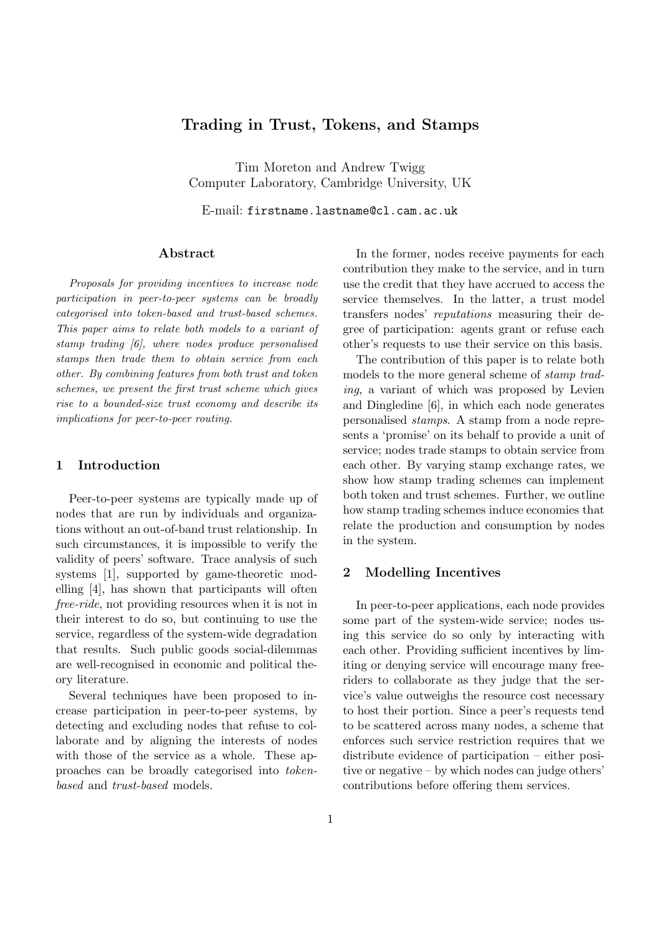# Trading in Trust, Tokens, and Stamps

Tim Moreton and Andrew Twigg Computer Laboratory, Cambridge University, UK

E-mail: firstname.lastname@cl.cam.ac.uk

## Abstract

Proposals for providing incentives to increase node participation in peer-to-peer systems can be broadly categorised into token-based and trust-based schemes. This paper aims to relate both models to a variant of stamp trading [6], where nodes produce personalised stamps then trade them to obtain service from each other. By combining features from both trust and token schemes, we present the first trust scheme which gives rise to a bounded-size trust economy and describe its implications for peer-to-peer routing.

## 1 Introduction

Peer-to-peer systems are typically made up of nodes that are run by individuals and organizations without an out-of-band trust relationship. In such circumstances, it is impossible to verify the validity of peers' software. Trace analysis of such systems [1], supported by game-theoretic modelling [4], has shown that participants will often free-ride, not providing resources when it is not in their interest to do so, but continuing to use the service, regardless of the system-wide degradation that results. Such public goods social-dilemmas are well-recognised in economic and political theory literature.

Several techniques have been proposed to increase participation in peer-to-peer systems, by detecting and excluding nodes that refuse to collaborate and by aligning the interests of nodes with those of the service as a whole. These approaches can be broadly categorised into tokenbased and trust-based models.

In the former, nodes receive payments for each contribution they make to the service, and in turn use the credit that they have accrued to access the service themselves. In the latter, a trust model transfers nodes' reputations measuring their degree of participation: agents grant or refuse each other's requests to use their service on this basis.

The contribution of this paper is to relate both models to the more general scheme of stamp trading, a variant of which was proposed by Levien and Dingledine [6], in which each node generates personalised stamps. A stamp from a node represents a 'promise' on its behalf to provide a unit of service; nodes trade stamps to obtain service from each other. By varying stamp exchange rates, we show how stamp trading schemes can implement both token and trust schemes. Further, we outline how stamp trading schemes induce economies that relate the production and consumption by nodes in the system.

# 2 Modelling Incentives

In peer-to-peer applications, each node provides some part of the system-wide service; nodes using this service do so only by interacting with each other. Providing sufficient incentives by limiting or denying service will encourage many freeriders to collaborate as they judge that the service's value outweighs the resource cost necessary to host their portion. Since a peer's requests tend to be scattered across many nodes, a scheme that enforces such service restriction requires that we distribute evidence of participation – either positive or negative – by which nodes can judge others' contributions before offering them services.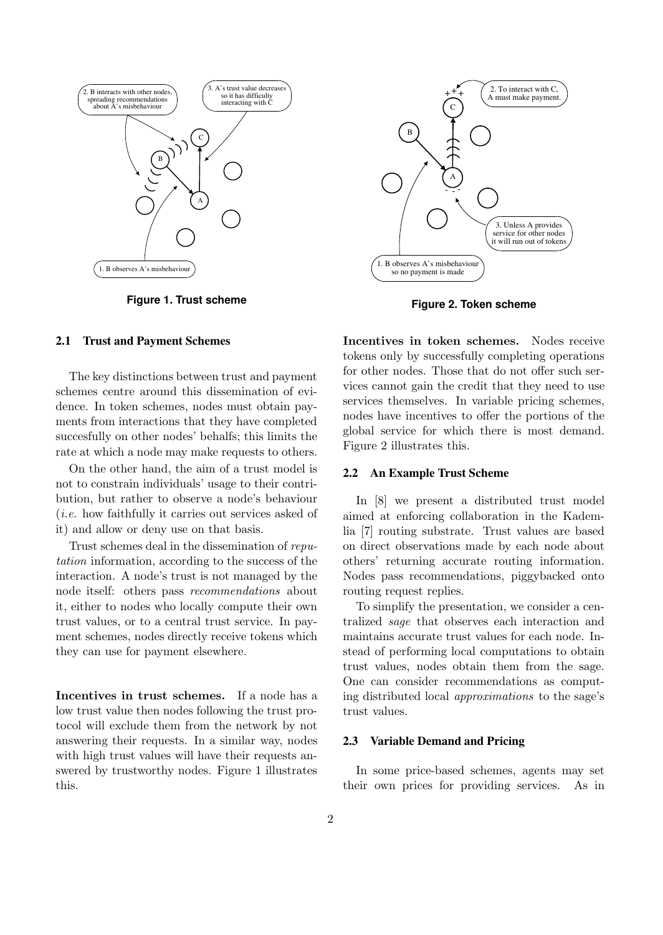

**Figure 1. Trust scheme**

#### **2.1 Trust and Payment Schemes**

The key distinctions between trust and payment schemes centre around this dissemination of evidence. In token schemes, nodes must obtain payments from interactions that they have completed succesfully on other nodes' behalfs; this limits the rate at which a node may make requests to others.

On the other hand, the aim of a trust model is not to constrain individuals' usage to their contribution, but rather to observe a node's behaviour (i.e. how faithfully it carries out services asked of it) and allow or deny use on that basis.

Trust schemes deal in the dissemination of reputation information, according to the success of the interaction. A node's trust is not managed by the node itself: others pass recommendations about it, either to nodes who locally compute their own trust values, or to a central trust service. In payment schemes, nodes directly receive tokens which they can use for payment elsewhere.

Incentives in trust schemes. If a node has a low trust value then nodes following the trust protocol will exclude them from the network by not answering their requests. In a similar way, nodes with high trust values will have their requests answered by trustworthy nodes. Figure 1 illustrates this.



**Figure 2. Token scheme**

Incentives in token schemes. Nodes receive tokens only by successfully completing operations for other nodes. Those that do not offer such services cannot gain the credit that they need to use services themselves. In variable pricing schemes, nodes have incentives to offer the portions of the global service for which there is most demand. Figure 2 illustrates this.

#### **2.2 An Example Trust Scheme**

In [8] we present a distributed trust model aimed at enforcing collaboration in the Kademlia [7] routing substrate. Trust values are based on direct observations made by each node about others' returning accurate routing information. Nodes pass recommendations, piggybacked onto routing request replies.

To simplify the presentation, we consider a centralized sage that observes each interaction and maintains accurate trust values for each node. Instead of performing local computations to obtain trust values, nodes obtain them from the sage. One can consider recommendations as computing distributed local approximations to the sage's trust values.

#### **2.3 Variable Demand and Pricing**

In some price-based schemes, agents may set their own prices for providing services. As in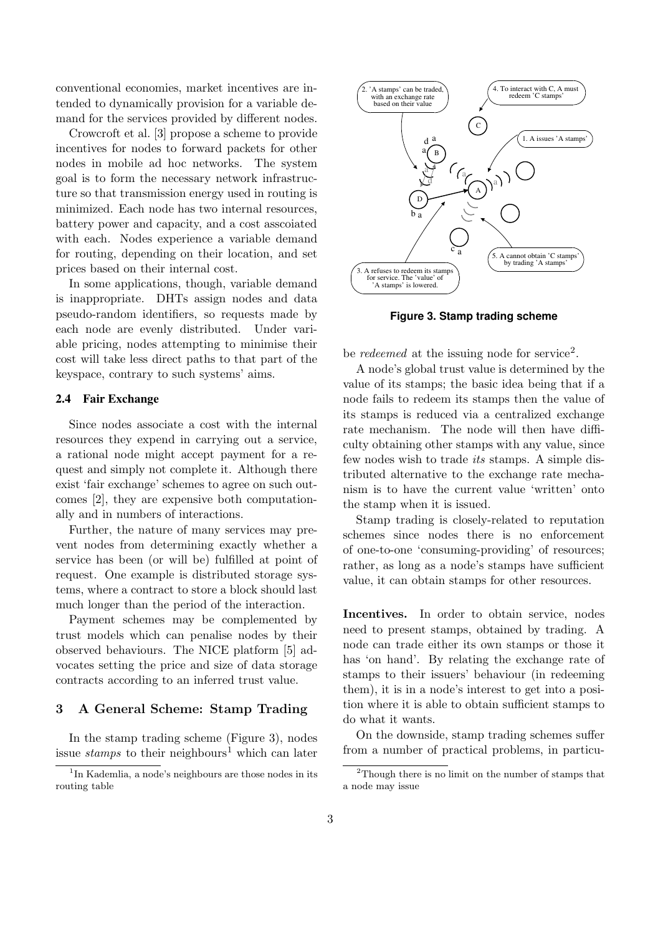conventional economies, market incentives are intended to dynamically provision for a variable demand for the services provided by different nodes.

Crowcroft et al. [3] propose a scheme to provide incentives for nodes to forward packets for other nodes in mobile ad hoc networks. The system goal is to form the necessary network infrastructure so that transmission energy used in routing is minimized. Each node has two internal resources, battery power and capacity, and a cost asscoiated with each. Nodes experience a variable demand for routing, depending on their location, and set prices based on their internal cost.

In some applications, though, variable demand is inappropriate. DHTs assign nodes and data pseudo-random identifiers, so requests made by each node are evenly distributed. Under variable pricing, nodes attempting to minimise their cost will take less direct paths to that part of the keyspace, contrary to such systems' aims.

## **2.4 Fair Exchange**

Since nodes associate a cost with the internal resources they expend in carrying out a service, a rational node might accept payment for a request and simply not complete it. Although there exist 'fair exchange' schemes to agree on such outcomes [2], they are expensive both computationally and in numbers of interactions.

Further, the nature of many services may prevent nodes from determining exactly whether a service has been (or will be) fulfilled at point of request. One example is distributed storage systems, where a contract to store a block should last much longer than the period of the interaction.

Payment schemes may be complemented by trust models which can penalise nodes by their observed behaviours. The NICE platform [5] advocates setting the price and size of data storage contracts according to an inferred trust value.

#### 3 A General Scheme: Stamp Trading

In the stamp trading scheme (Figure 3), nodes issue *stamps* to their neighbours<sup>1</sup> which can later



**Figure 3. Stamp trading scheme**

be *redeemed* at the issuing node for service<sup>2</sup>.

A node's global trust value is determined by the value of its stamps; the basic idea being that if a node fails to redeem its stamps then the value of its stamps is reduced via a centralized exchange rate mechanism. The node will then have difficulty obtaining other stamps with any value, since few nodes wish to trade its stamps. A simple distributed alternative to the exchange rate mechanism is to have the current value 'written' onto the stamp when it is issued.

Stamp trading is closely-related to reputation schemes since nodes there is no enforcement of one-to-one 'consuming-providing' of resources; rather, as long as a node's stamps have sufficient value, it can obtain stamps for other resources.

Incentives. In order to obtain service, nodes need to present stamps, obtained by trading. A node can trade either its own stamps or those it has 'on hand'. By relating the exchange rate of stamps to their issuers' behaviour (in redeeming them), it is in a node's interest to get into a position where it is able to obtain sufficient stamps to do what it wants.

On the downside, stamp trading schemes suffer from a number of practical problems, in particu-

<sup>&</sup>lt;sup>1</sup>In Kademlia, a node's neighbours are those nodes in its routing table

<sup>2</sup>Though there is no limit on the number of stamps that a node may issue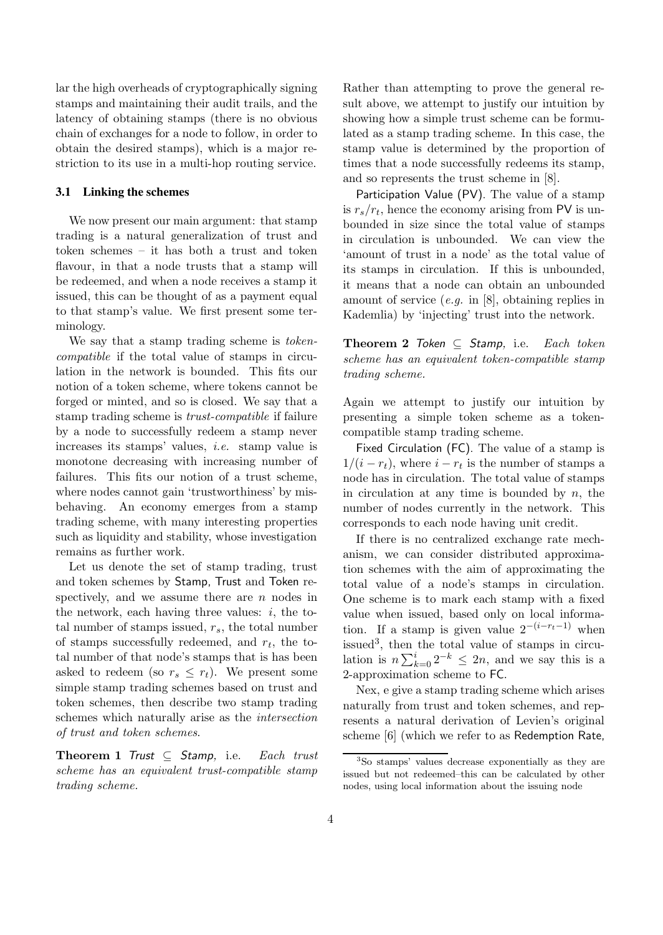lar the high overheads of cryptographically signing stamps and maintaining their audit trails, and the latency of obtaining stamps (there is no obvious chain of exchanges for a node to follow, in order to obtain the desired stamps), which is a major restriction to its use in a multi-hop routing service.

#### **3.1 Linking the schemes**

We now present our main argument: that stamp trading is a natural generalization of trust and token schemes – it has both a trust and token flavour, in that a node trusts that a stamp will be redeemed, and when a node receives a stamp it issued, this can be thought of as a payment equal to that stamp's value. We first present some terminology.

We say that a stamp trading scheme is *token*compatible if the total value of stamps in circulation in the network is bounded. This fits our notion of a token scheme, where tokens cannot be forged or minted, and so is closed. We say that a stamp trading scheme is trust-compatible if failure by a node to successfully redeem a stamp never increases its stamps' values, i.e. stamp value is monotone decreasing with increasing number of failures. This fits our notion of a trust scheme, where nodes cannot gain 'trustworthiness' by misbehaving. An economy emerges from a stamp trading scheme, with many interesting properties such as liquidity and stability, whose investigation remains as further work.

Let us denote the set of stamp trading, trust and token schemes by Stamp, Trust and Token respectively, and we assume there are  $n$  nodes in the network, each having three values:  $i$ , the total number of stamps issued,  $r_s$ , the total number of stamps successfully redeemed, and  $r_t$ , the total number of that node's stamps that is has been asked to redeem (so  $r_s \leq r_t$ ). We present some simple stamp trading schemes based on trust and token schemes, then describe two stamp trading schemes which naturally arise as the intersection of trust and token schemes.

Theorem 1 Trust  $\subseteq$  Stamp, i.e. Each trust scheme has an equivalent trust-compatible stamp trading scheme.

Rather than attempting to prove the general result above, we attempt to justify our intuition by showing how a simple trust scheme can be formulated as a stamp trading scheme. In this case, the stamp value is determined by the proportion of times that a node successfully redeems its stamp, and so represents the trust scheme in [8].

Participation Value (PV). The value of a stamp is  $r_s/r_t$ , hence the economy arising from PV is unbounded in size since the total value of stamps in circulation is unbounded. We can view the 'amount of trust in a node' as the total value of its stamps in circulation. If this is unbounded, it means that a node can obtain an unbounded amount of service  $(e.g. \text{ in } [8], \text{ obtaining replies in})$ Kademlia) by 'injecting' trust into the network.

**Theorem 2** Token  $\subseteq$  Stamp, i.e. Each token scheme has an equivalent token-compatible stamp trading scheme.

Again we attempt to justify our intuition by presenting a simple token scheme as a tokencompatible stamp trading scheme.

Fixed Circulation (FC). The value of a stamp is  $1/(i - r_t)$ , where  $i - r_t$  is the number of stamps a node has in circulation. The total value of stamps in circulation at any time is bounded by  $n$ , the number of nodes currently in the network. This corresponds to each node having unit credit.

If there is no centralized exchange rate mechanism, we can consider distributed approximation schemes with the aim of approximating the total value of a node's stamps in circulation. One scheme is to mark each stamp with a fixed value when issued, based only on local information. If a stamp is given value  $2^{-(i-r_t-1)}$  when issued<sup>3</sup>, then the total value of stamps in circulation is  $n \sum_{k=0}^{i} 2^{-k} \leq 2n$ , and we say this is a 2-approximation scheme to FC.

Nex, e give a stamp trading scheme which arises naturally from trust and token schemes, and represents a natural derivation of Levien's original scheme [6] (which we refer to as Redemption Rate,

<sup>3</sup>So stamps' values decrease exponentially as they are issued but not redeemed–this can be calculated by other nodes, using local information about the issuing node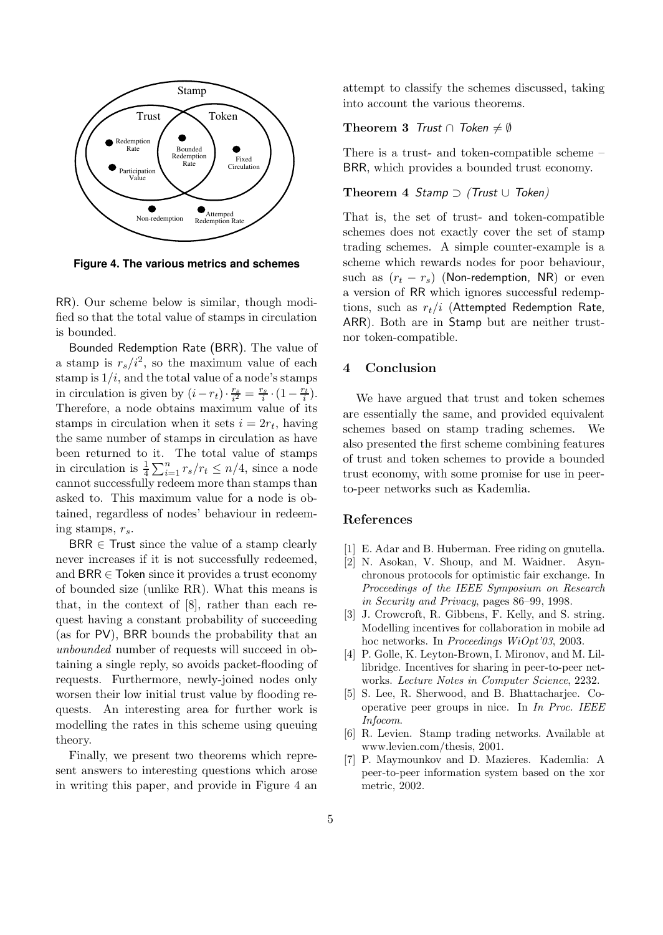

**Figure 4. The various metrics and schemes**

RR). Our scheme below is similar, though modified so that the total value of stamps in circulation is bounded.

Bounded Redemption Rate (BRR). The value of a stamp is  $r_s/i^2$ , so the maximum value of each stamp is  $1/i$ , and the total value of a node's stamps in circulation is given by  $(i - r_t) \cdot \frac{r_s}{i^2} = \frac{r_s}{i} \cdot (1 - \frac{r_t}{i}).$ Therefore, a node obtains maximum value of its stamps in circulation when it sets  $i = 2r_t$ , having the same number of stamps in circulation as have been returned to it. The total value of stamps in circulation is  $\frac{1}{4} \sum_{i=1}^{n} r_s / r_t \leq n/4$ , since a node cannot successfully redeem more than stamps than asked to. This maximum value for a node is obtained, regardless of nodes' behaviour in redeeming stamps,  $r_s$ .

 $BR \in$  Trust since the value of a stamp clearly never increases if it is not successfully redeemed, and  $BR \in \mathsf{Token}$  since it provides a trust economy of bounded size (unlike RR). What this means is that, in the context of [8], rather than each request having a constant probability of succeeding (as for PV), BRR bounds the probability that an unbounded number of requests will succeed in obtaining a single reply, so avoids packet-flooding of requests. Furthermore, newly-joined nodes only worsen their low initial trust value by flooding requests. An interesting area for further work is modelling the rates in this scheme using queuing theory.

Finally, we present two theorems which represent answers to interesting questions which arose in writing this paper, and provide in Figure 4 an attempt to classify the schemes discussed, taking into account the various theorems.

# Theorem 3 Trust  $\cap$  Token  $\neq \emptyset$

There is a trust- and token-compatible scheme – BRR, which provides a bounded trust economy.

# Theorem 4 Stamp  $\supset$  (Trust  $\cup$  Token)

That is, the set of trust- and token-compatible schemes does not exactly cover the set of stamp trading schemes. A simple counter-example is a scheme which rewards nodes for poor behaviour, such as  $(r_t - r_s)$  (Non-redemption, NR) or even a version of RR which ignores successful redemptions, such as  $r_t/i$  (Attempted Redemption Rate, ARR). Both are in Stamp but are neither trustnor token-compatible.

# 4 Conclusion

We have argued that trust and token schemes are essentially the same, and provided equivalent schemes based on stamp trading schemes. We also presented the first scheme combining features of trust and token schemes to provide a bounded trust economy, with some promise for use in peerto-peer networks such as Kademlia.

#### References

- E. Adar and B. Huberman. Free riding on gnutella.
- [2] N. Asokan, V. Shoup, and M. Waidner. Asynchronous protocols for optimistic fair exchange. In Proceedings of the IEEE Symposium on Research in Security and Privacy, pages 86–99, 1998.
- [3] J. Crowcroft, R. Gibbens, F. Kelly, and S. string. Modelling incentives for collaboration in mobile ad hoc networks. In *Proceedings WiOpt'03*, 2003.
- [4] P. Golle, K. Leyton-Brown, I. Mironov, and M. Lillibridge. Incentives for sharing in peer-to-peer networks. Lecture Notes in Computer Science, 2232.
- [5] S. Lee, R. Sherwood, and B. Bhattacharjee. Cooperative peer groups in nice. In In Proc. IEEE Infocom.
- [6] R. Levien. Stamp trading networks. Available at www.levien.com/thesis, 2001.
- [7] P. Maymounkov and D. Mazieres. Kademlia: A peer-to-peer information system based on the xor metric, 2002.